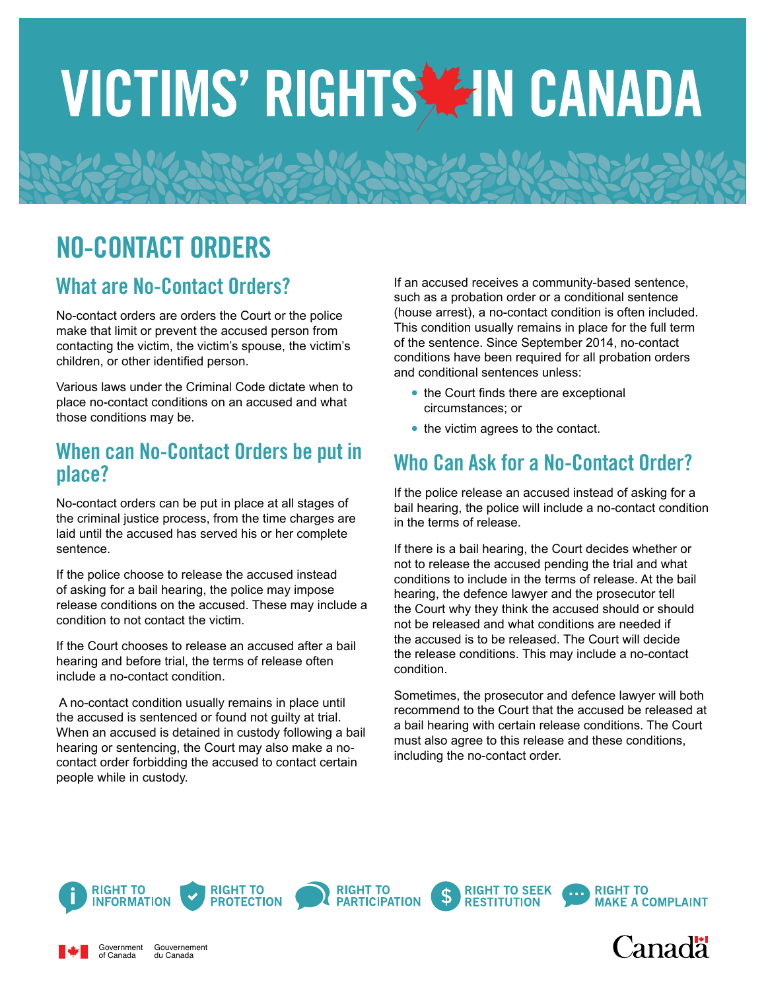# VICTIMS' RIGHTS ZIN CANADA

## NO-CONTACT ORDERS

#### What are No-Contact Orders?

No-contact orders are orders the Court or the police make that limit or prevent the accused person from contacting the victim, the victim's spouse, the victim's children, or other identified person.

Various laws under the Criminal Code dictate when to place no-contact conditions on an accused and what those conditions may be.

#### When can No-Contact Orders be put in place?

No-contact orders can be put in place at all stages of the criminal justice process, from the time charges are laid until the accused has served his or her complete sentence.

If the police choose to release the accused instead of asking for a bail hearing, the police may impose release conditions on the accused. These may include a condition to not contact the victim.

If the Court chooses to release an accused after a bail hearing and before trial, the terms of release often include a no-contact condition.

 A no-contact condition usually remains in place until the accused is sentenced or found not guilty at trial. When an accused is detained in custody following a bail hearing or sentencing, the Court may also make a nocontact order forbidding the accused to contact certain people while in custody.

If an accused receives a community-based sentence, such as a probation order or a conditional sentence (house arrest), a no-contact condition is often included. This condition usually remains in place for the full term of the sentence. Since September 2014, no-contact conditions have been required for all probation orders and conditional sentences unless:

- **•** the Court finds there are exceptional circumstances; or
- the victim agrees to the contact.

### Who Can Ask for a No-Contact Order?

If the police release an accused instead of asking for a bail hearing, the police will include a no-contact condition in the terms of release.

If there is a bail hearing, the Court decides whether or not to release the accused pending the trial and what conditions to include in the terms of release. At the bail hearing, the defence lawyer and the prosecutor tell the Court why they think the accused should or should not be released and what conditions are needed if the accused is to be released. The Court will decide the release conditions. This may include a no-contact condition.

Sometimes, the prosecutor and defence lawyer will both recommend to the Court that the accused be released at a bail hearing with certain release conditions. The Court must also agree to this release and these conditions, including the no-contact order.



Government of Canada

Gouvernement du Canada



**RIGHT TO** 

**PROTECTION** 

**RIGHT TO** 



**RIGHT TO SEEK** 



**RIGHT TO**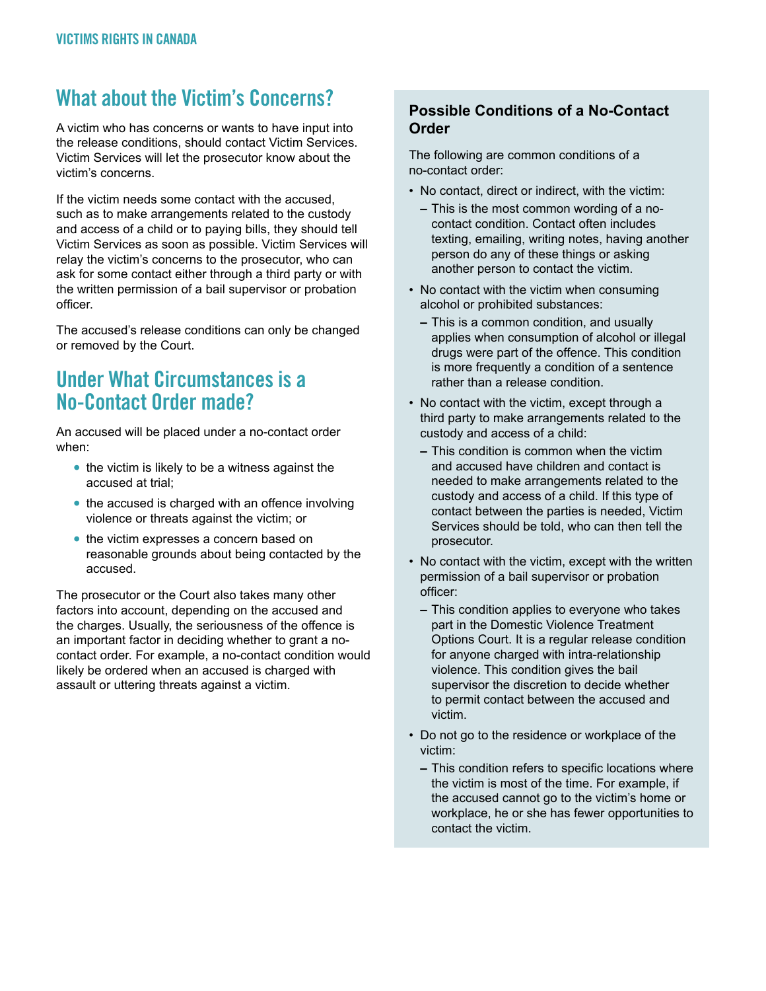#### What about the Victim's Concerns?

A victim who has concerns or wants to have input into the release conditions, should contact Victim Services. Victim Services will let the prosecutor know about the victim's concerns.

If the victim needs some contact with the accused, such as to make arrangements related to the custody and access of a child or to paying bills, they should tell Victim Services as soon as possible. Victim Services will relay the victim's concerns to the prosecutor, who can ask for some contact either through a third party or with the written permission of a bail supervisor or probation officer.

The accused's release conditions can only be changed or removed by the Court.

#### Under What Circumstances is a No-Contact Order made?

An accused will be placed under a no-contact order when:

- **•** the victim is likely to be a witness against the accused at trial;
- the accused is charged with an offence involving violence or threats against the victim; or
- **•** the victim expresses a concern based on reasonable grounds about being contacted by the accused.

The prosecutor or the Court also takes many other factors into account, depending on the accused and the charges. Usually, the seriousness of the offence is an important factor in deciding whether to grant a nocontact order. For example, a no-contact condition would likely be ordered when an accused is charged with assault or uttering threats against a victim.

#### **Possible Conditions of a No-Contact Order**

The following are common conditions of a no-contact order:

- No contact, direct or indirect, with the victim:
	- **–** This is the most common wording of a nocontact condition. Contact often includes texting, emailing, writing notes, having another person do any of these things or asking another person to contact the victim.
- No contact with the victim when consuming alcohol or prohibited substances:
	- **–** This is a common condition, and usually applies when consumption of alcohol or illegal drugs were part of the offence. This condition is more frequently a condition of a sentence rather than a release condition.
- No contact with the victim, except through a third party to make arrangements related to the custody and access of a child:
	- **–** This condition is common when the victim and accused have children and contact is needed to make arrangements related to the custody and access of a child. If this type of contact between the parties is needed, Victim Services should be told, who can then tell the prosecutor.
- No contact with the victim, except with the written permission of a bail supervisor or probation officer:
	- **–** This condition applies to everyone who takes part in the Domestic Violence Treatment Options Court. It is a regular release condition for anyone charged with intra-relationship violence. This condition gives the bail supervisor the discretion to decide whether to permit contact between the accused and victim.
- Do not go to the residence or workplace of the victim:
	- **–** This condition refers to specific locations where the victim is most of the time. For example, if the accused cannot go to the victim's home or workplace, he or she has fewer opportunities to contact the victim.